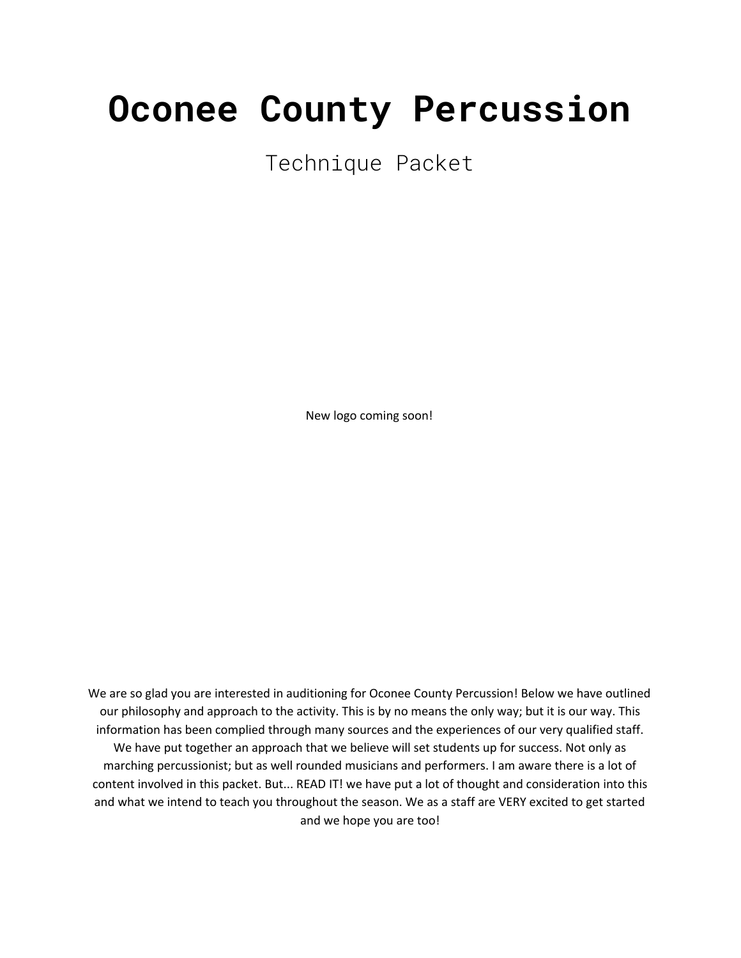# **Oconee County Percussion**

Technique Packet

New logo coming soon!

We are so glad you are interested in auditioning for Oconee County Percussion! Below we have outlined our philosophy and approach to the activity. This is by no means the only way; but it is our way. This information has been complied through many sources and the experiences of our very qualified staff. We have put together an approach that we believe will set students up for success. Not only as marching percussionist; but as well rounded musicians and performers. I am aware there is a lot of content involved in this packet. But... READ IT! we have put a lot of thought and consideration into this and what we intend to teach you throughout the season. We as a staff are VERY excited to get started and we hope you are too!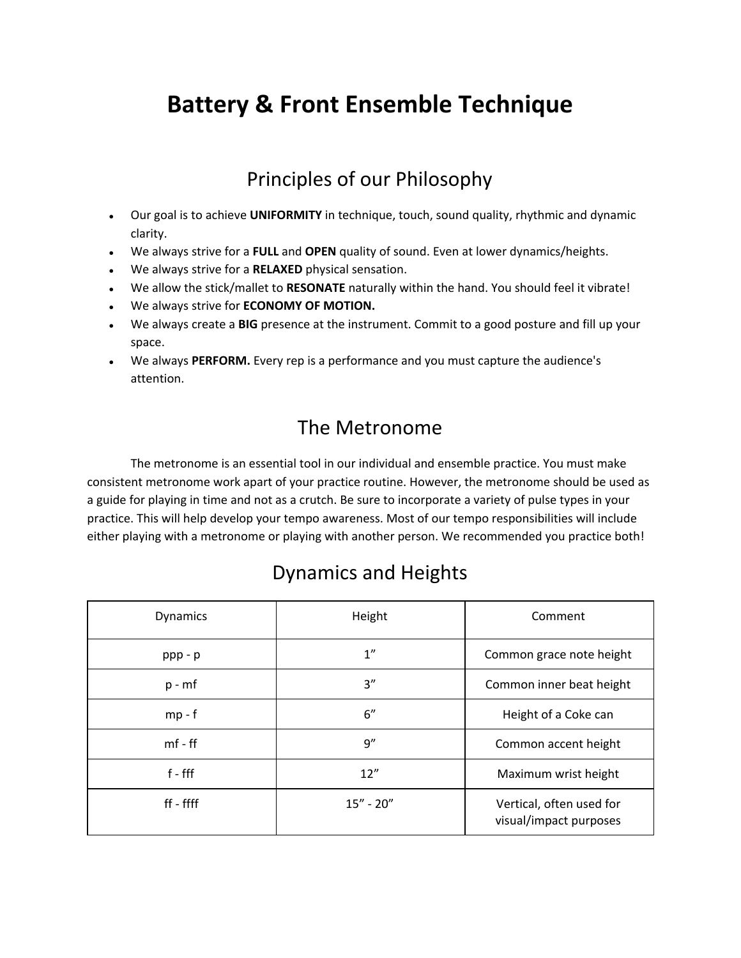# **Battery & Front Ensemble Technique**

#### Principles of our Philosophy

- Our goal is to achieve **UNIFORMITY** in technique, touch, sound quality, rhythmic and dynamic clarity.
- We always strive for a **FULL** and **OPEN** quality of sound. Even at lower dynamics/heights.
- We always strive for a **RELAXED** physical sensation.
- We allow the stick/mallet to **RESONATE** naturally within the hand. You should feel it vibrate!
- We always strive for **ECONOMY OF MOTION.**
- We always create a **BIG** presence at the instrument. Commit to a good posture and fill up your space.
- We always **PERFORM.** Every rep is a performance and you must capture the audience's attention.

#### The Metronome

The metronome is an essential tool in our individual and ensemble practice. You must make consistent metronome work apart of your practice routine. However, the metronome should be used as a guide for playing in time and not as a crutch. Be sure to incorporate a variety of pulse types in your practice. This will help develop your tempo awareness. Most of our tempo responsibilities will include either playing with a metronome or playing with another person. We recommended you practice both!

#### Dynamics and Heights

| <b>Dynamics</b> | Height        | Comment                                            |
|-----------------|---------------|----------------------------------------------------|
| $ppp - p$       | 1"            | Common grace note height                           |
| $p - mf$        | 3''           | Common inner beat height                           |
| $mp-f$          | 6"            | Height of a Coke can                               |
| $mf - ff$       | 9''           | Common accent height                               |
| $f - fff$       | 12''          | Maximum wrist height                               |
| ff - ffff       | $15'' - 20''$ | Vertical, often used for<br>visual/impact purposes |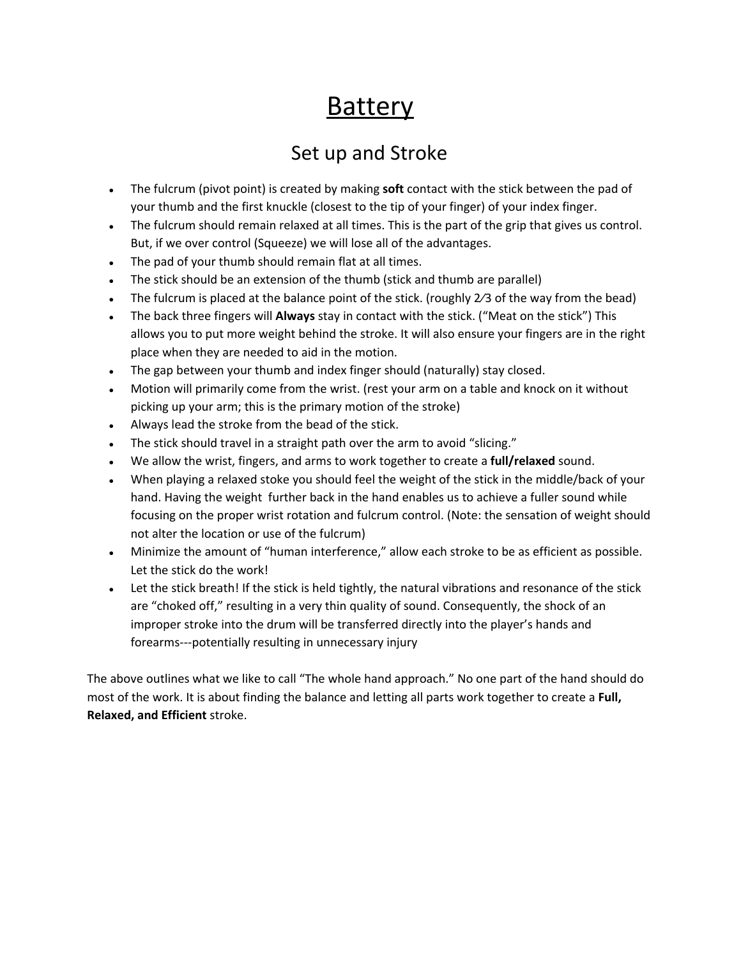# **Battery**

#### Set up and Stroke

- The fulcrum (pivot point) is created by making **soft** contact with the stick between the pad of your thumb and the first knuckle (closest to the tip of your finger) of your index finger.
- The fulcrum should remain relaxed at all times. This is the part of the grip that gives us control. But, if we over control (Squeeze) we will lose all of the advantages.
- The pad of your thumb should remain flat at all times.
- The stick should be an extension of the thumb (stick and thumb are parallel)
- The fulcrum is placed at the balance point of the stick. (roughly 2/3 of the way from the bead)
- The back three fingers will **Always** stay in contact with the stick. ("Meat on the stick") This allows you to put more weight behind the stroke. It will also ensure your fingers are in the right place when they are needed to aid in the motion.
- The gap between your thumb and index finger should (naturally) stay closed.
- Motion will primarily come from the wrist. (rest your arm on a table and knock on it without picking up your arm; this is the primary motion of the stroke)
- Always lead the stroke from the bead of the stick.
- The stick should travel in a straight path over the arm to avoid "slicing."
- We allow the wrist, fingers, and arms to work together to create a **full/relaxed** sound.
- When playing a relaxed stoke you should feel the weight of the stick in the middle/back of your hand. Having the weight further back in the hand enables us to achieve a fuller sound while focusing on the proper wrist rotation and fulcrum control. (Note: the sensation of weight should not alter the location or use of the fulcrum)
- Minimize the amount of "human interference," allow each stroke to be as efficient as possible. Let the stick do the work!
- Let the stick breath! If the stick is held tightly, the natural vibrations and resonance of the stick are "choked off," resulting in a very thin quality of sound. Consequently, the shock of an improper stroke into the drum will be transferred directly into the player's hands and forearms---potentially resulting in unnecessary injury

The above outlines what we like to call "The whole hand approach." No one part of the hand should do most of the work. It is about finding the balance and letting all parts work together to create a **Full, Relaxed, and Efficient** stroke.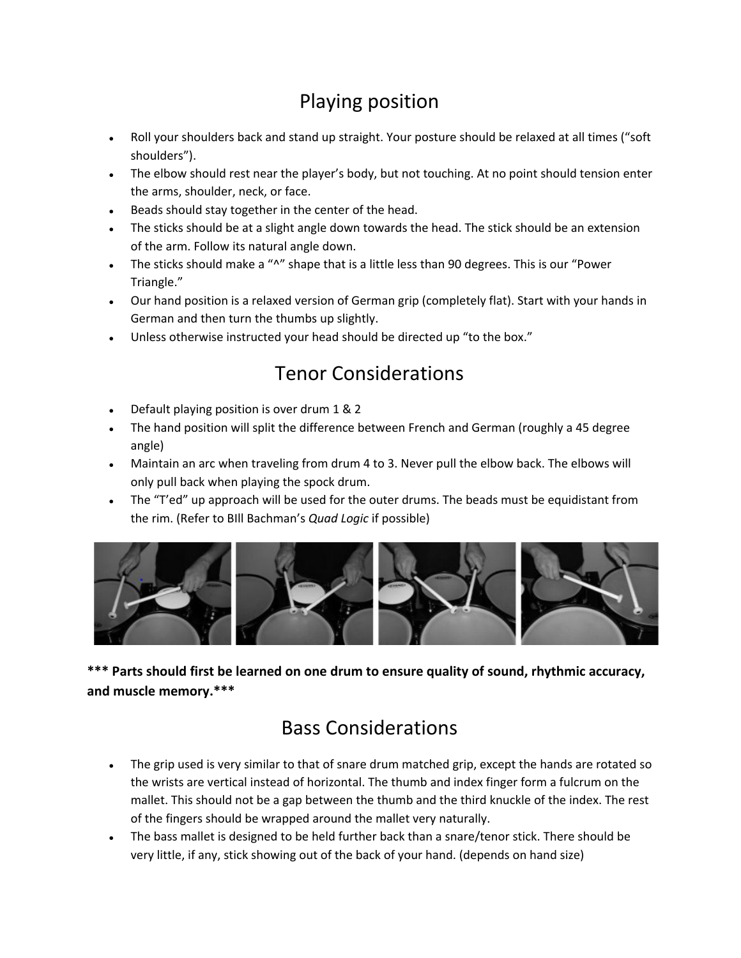### Playing position

- Roll your shoulders back and stand up straight. Your posture should be relaxed at all times ("soft shoulders").
- The elbow should rest near the player's body, but not touching. At no point should tension enter the arms, shoulder, neck, or face.
- Beads should stay together in the center of the head.
- The sticks should be at a slight angle down towards the head. The stick should be an extension of the arm. Follow its natural angle down.
- The sticks should make a "^" shape that is a little less than 90 degrees. This is our "Power Triangle."
- Our hand position is a relaxed version of German grip (completely flat). Start with your hands in German and then turn the thumbs up slightly.
- Unless otherwise instructed your head should be directed up "to the box."

### Tenor Considerations

- Default playing position is over drum 1 & 2
- The hand position will split the difference between French and German (roughly a 45 degree angle)
- Maintain an arc when traveling from drum 4 to 3. Never pull the elbow back. The elbows will only pull back when playing the spock drum.
- The "T'ed" up approach will be used for the outer drums. The beads must be equidistant from the rim. (Refer to BIll Bachman's *Quad Logic* if possible)



**\*\*\* Parts should first be learned on one drum to ensure quality of sound, rhythmic accuracy, and muscle memory.\*\*\***

#### Bass Considerations

- The grip used is very similar to that of snare drum matched grip, except the hands are rotated so the wrists are vertical instead of horizontal. The thumb and index finger form a fulcrum on the mallet. This should not be a gap between the thumb and the third knuckle of the index. The rest of the fingers should be wrapped around the mallet very naturally.
- The bass mallet is designed to be held further back than a snare/tenor stick. There should be very little, if any, stick showing out of the back of your hand. (depends on hand size)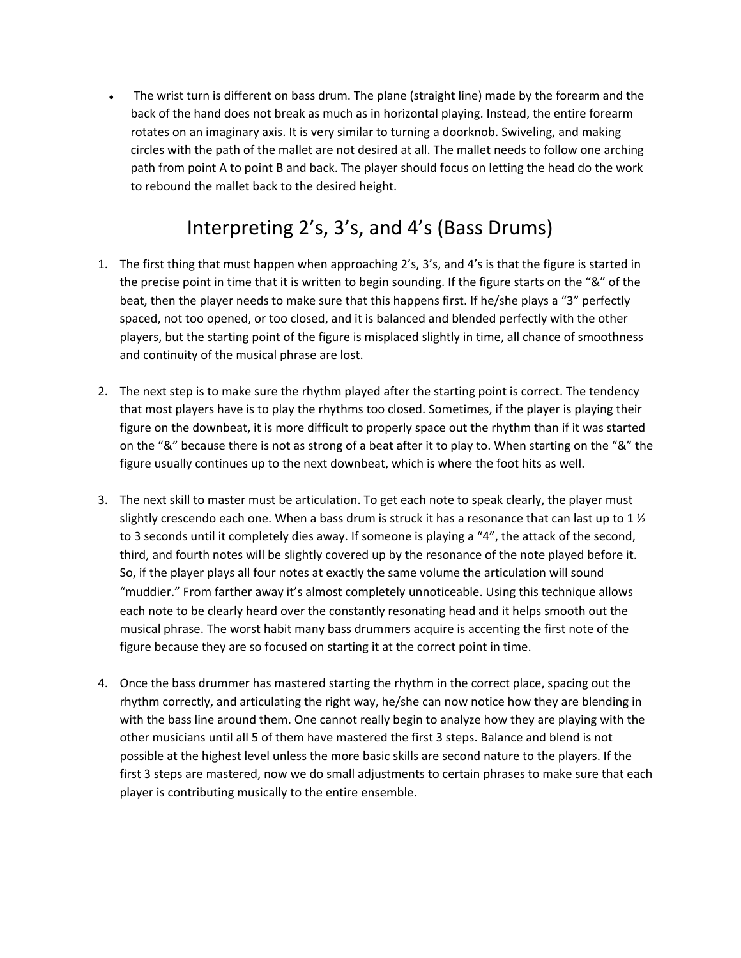• The wrist turn is different on bass drum. The plane (straight line) made by the forearm and the back of the hand does not break as much as in horizontal playing. Instead, the entire forearm rotates on an imaginary axis. It is very similar to turning a doorknob. Swiveling, and making circles with the path of the mallet are not desired at all. The mallet needs to follow one arching path from point A to point B and back. The player should focus on letting the head do the work to rebound the mallet back to the desired height.

### Interpreting 2's, 3's, and 4's (Bass Drums)

- 1. The first thing that must happen when approaching 2's, 3's, and 4's is that the figure is started in the precise point in time that it is written to begin sounding. If the figure starts on the "&" of the beat, then the player needs to make sure that this happens first. If he/she plays a "3" perfectly spaced, not too opened, or too closed, and it is balanced and blended perfectly with the other players, but the starting point of the figure is misplaced slightly in time, all chance of smoothness and continuity of the musical phrase are lost.
- 2. The next step is to make sure the rhythm played after the starting point is correct. The tendency that most players have is to play the rhythms too closed. Sometimes, if the player is playing their figure on the downbeat, it is more difficult to properly space out the rhythm than if it was started on the "&" because there is not as strong of a beat after it to play to. When starting on the "&" the figure usually continues up to the next downbeat, which is where the foot hits as well.
- 3. The next skill to master must be articulation. To get each note to speak clearly, the player must slightly crescendo each one. When a bass drum is struck it has a resonance that can last up to 1  $\frac{1}{2}$ to 3 seconds until it completely dies away. If someone is playing a "4", the attack of the second, third, and fourth notes will be slightly covered up by the resonance of the note played before it. So, if the player plays all four notes at exactly the same volume the articulation will sound "muddier." From farther away it's almost completely unnoticeable. Using this technique allows each note to be clearly heard over the constantly resonating head and it helps smooth out the musical phrase. The worst habit many bass drummers acquire is accenting the first note of the figure because they are so focused on starting it at the correct point in time.
- 4. Once the bass drummer has mastered starting the rhythm in the correct place, spacing out the rhythm correctly, and articulating the right way, he/she can now notice how they are blending in with the bass line around them. One cannot really begin to analyze how they are playing with the other musicians until all 5 of them have mastered the first 3 steps. Balance and blend is not possible at the highest level unless the more basic skills are second nature to the players. If the first 3 steps are mastered, now we do small adjustments to certain phrases to make sure that each player is contributing musically to the entire ensemble.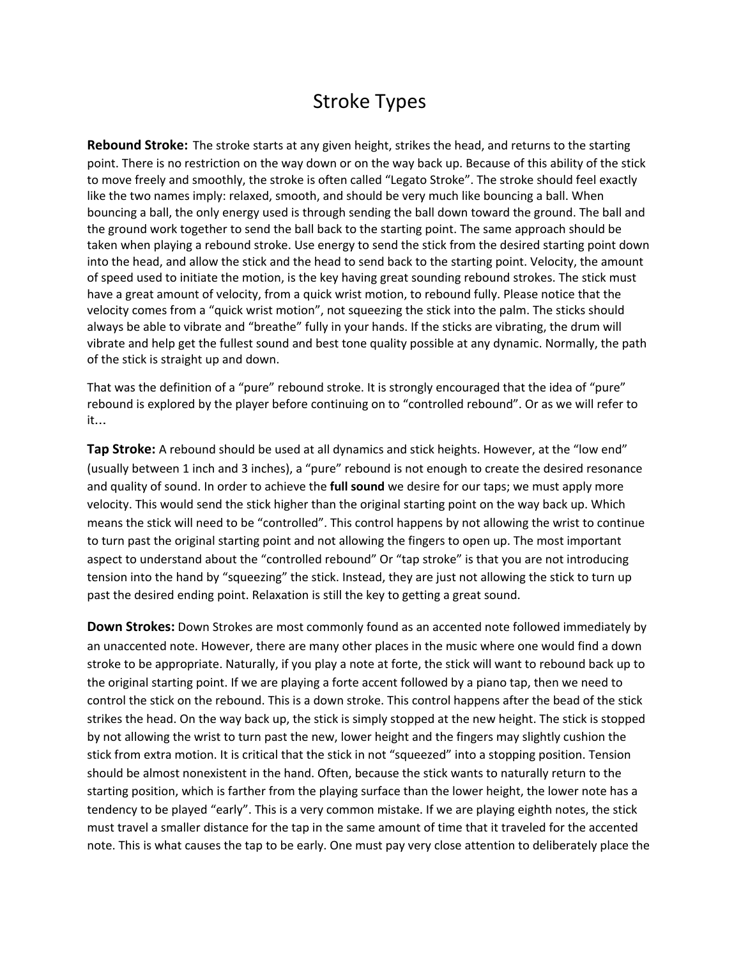#### Stroke Types

**Rebound Stroke:** The stroke starts at any given height, strikes the head, and returns to the starting point. There is no restriction on the way down or on the way back up. Because of this ability of the stick to move freely and smoothly, the stroke is often called "Legato Stroke". The stroke should feel exactly like the two names imply: relaxed, smooth, and should be very much like bouncing a ball. When bouncing a ball, the only energy used is through sending the ball down toward the ground. The ball and the ground work together to send the ball back to the starting point. The same approach should be taken when playing a rebound stroke. Use energy to send the stick from the desired starting point down into the head, and allow the stick and the head to send back to the starting point. Velocity, the amount of speed used to initiate the motion, is the key having great sounding rebound strokes. The stick must have a great amount of velocity, from a quick wrist motion, to rebound fully. Please notice that the velocity comes from a "quick wrist motion", not squeezing the stick into the palm. The sticks should always be able to vibrate and "breathe" fully in your hands. If the sticks are vibrating, the drum will vibrate and help get the fullest sound and best tone quality possible at any dynamic. Normally, the path of the stick is straight up and down.

That was the definition of a "pure" rebound stroke. It is strongly encouraged that the idea of "pure" rebound is explored by the player before continuing on to "controlled rebound". Or as we will refer to it…

**Tap Stroke:** A rebound should be used at all dynamics and stick heights. However, at the "low end" (usually between 1 inch and 3 inches), a "pure" rebound is not enough to create the desired resonance and quality of sound. In order to achieve the **full sound** we desire for our taps; we must apply more velocity. This would send the stick higher than the original starting point on the way back up. Which means the stick will need to be "controlled". This control happens by not allowing the wrist to continue to turn past the original starting point and not allowing the fingers to open up. The most important aspect to understand about the "controlled rebound" Or "tap stroke" is that you are not introducing tension into the hand by "squeezing" the stick. Instead, they are just not allowing the stick to turn up past the desired ending point. Relaxation is still the key to getting a great sound.

**Down Strokes:** Down Strokes are most commonly found as an accented note followed immediately by an unaccented note. However, there are many other places in the music where one would find a down stroke to be appropriate. Naturally, if you play a note at forte, the stick will want to rebound back up to the original starting point. If we are playing a forte accent followed by a piano tap, then we need to control the stick on the rebound. This is a down stroke. This control happens after the bead of the stick strikes the head. On the way back up, the stick is simply stopped at the new height. The stick is stopped by not allowing the wrist to turn past the new, lower height and the fingers may slightly cushion the stick from extra motion. It is critical that the stick in not "squeezed" into a stopping position. Tension should be almost nonexistent in the hand. Often, because the stick wants to naturally return to the starting position, which is farther from the playing surface than the lower height, the lower note has a tendency to be played "early". This is a very common mistake. If we are playing eighth notes, the stick must travel a smaller distance for the tap in the same amount of time that it traveled for the accented note. This is what causes the tap to be early. One must pay very close attention to deliberately place the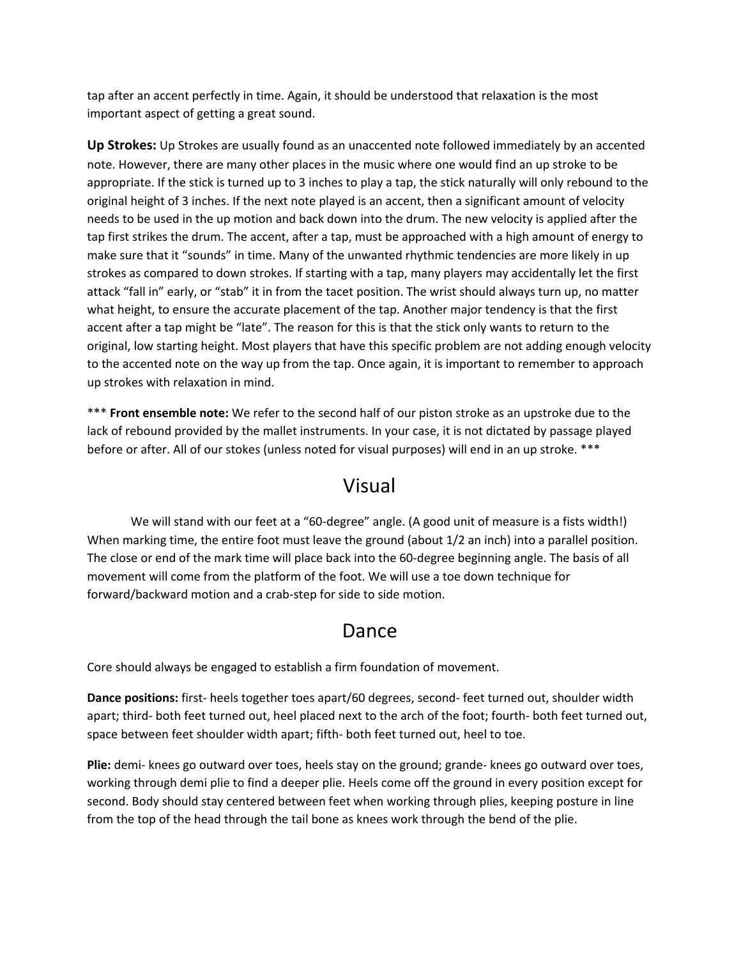tap after an accent perfectly in time. Again, it should be understood that relaxation is the most important aspect of getting a great sound.

**Up Strokes:** Up Strokes are usually found as an unaccented note followed immediately by an accented note. However, there are many other places in the music where one would find an up stroke to be appropriate. If the stick is turned up to 3 inches to play a tap, the stick naturally will only rebound to the original height of 3 inches. If the next note played is an accent, then a significant amount of velocity needs to be used in the up motion and back down into the drum. The new velocity is applied after the tap first strikes the drum. The accent, after a tap, must be approached with a high amount of energy to make sure that it "sounds" in time. Many of the unwanted rhythmic tendencies are more likely in up strokes as compared to down strokes. If starting with a tap, many players may accidentally let the first attack "fall in" early, or "stab" it in from the tacet position. The wrist should always turn up, no matter what height, to ensure the accurate placement of the tap. Another major tendency is that the first accent after a tap might be "late". The reason for this is that the stick only wants to return to the original, low starting height. Most players that have this specific problem are not adding enough velocity to the accented note on the way up from the tap. Once again, it is important to remember to approach up strokes with relaxation in mind.

\*\*\* **Front ensemble note:** We refer to the second half of our piston stroke as an upstroke due to the lack of rebound provided by the mallet instruments. In your case, it is not dictated by passage played before or after. All of our stokes (unless noted for visual purposes) will end in an up stroke. \*\*\*

#### Visual

We will stand with our feet at a "60-degree" angle. (A good unit of measure is a fists width!) When marking time, the entire foot must leave the ground (about 1/2 an inch) into a parallel position. The close or end of the mark time will place back into the 60-degree beginning angle. The basis of all movement will come from the platform of the foot. We will use a toe down technique for forward/backward motion and a crab-step for side to side motion.

#### Dance

Core should always be engaged to establish a firm foundation of movement.

**Dance positions:** first- heels together toes apart/60 degrees, second- feet turned out, shoulder width apart; third- both feet turned out, heel placed next to the arch of the foot; fourth- both feet turned out, space between feet shoulder width apart; fifth- both feet turned out, heel to toe.

**Plie:** demi- knees go outward over toes, heels stay on the ground; grande- knees go outward over toes, working through demi plie to find a deeper plie. Heels come off the ground in every position except for second. Body should stay centered between feet when working through plies, keeping posture in line from the top of the head through the tail bone as knees work through the bend of the plie.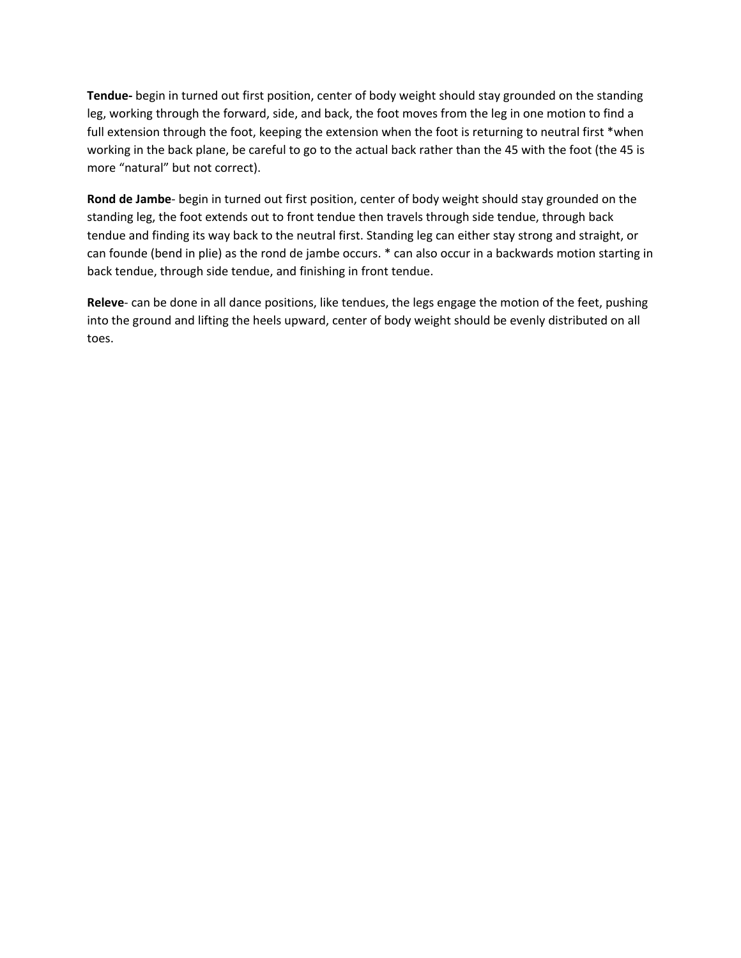**Tendue-** begin in turned out first position, center of body weight should stay grounded on the standing leg, working through the forward, side, and back, the foot moves from the leg in one motion to find a full extension through the foot, keeping the extension when the foot is returning to neutral first \*when working in the back plane, be careful to go to the actual back rather than the 45 with the foot (the 45 is more "natural" but not correct).

**Rond de Jambe**- begin in turned out first position, center of body weight should stay grounded on the standing leg, the foot extends out to front tendue then travels through side tendue, through back tendue and finding its way back to the neutral first. Standing leg can either stay strong and straight, or can founde (bend in plie) as the rond de jambe occurs. \* can also occur in a backwards motion starting in back tendue, through side tendue, and finishing in front tendue.

**Releve**- can be done in all dance positions, like tendues, the legs engage the motion of the feet, pushing into the ground and lifting the heels upward, center of body weight should be evenly distributed on all toes.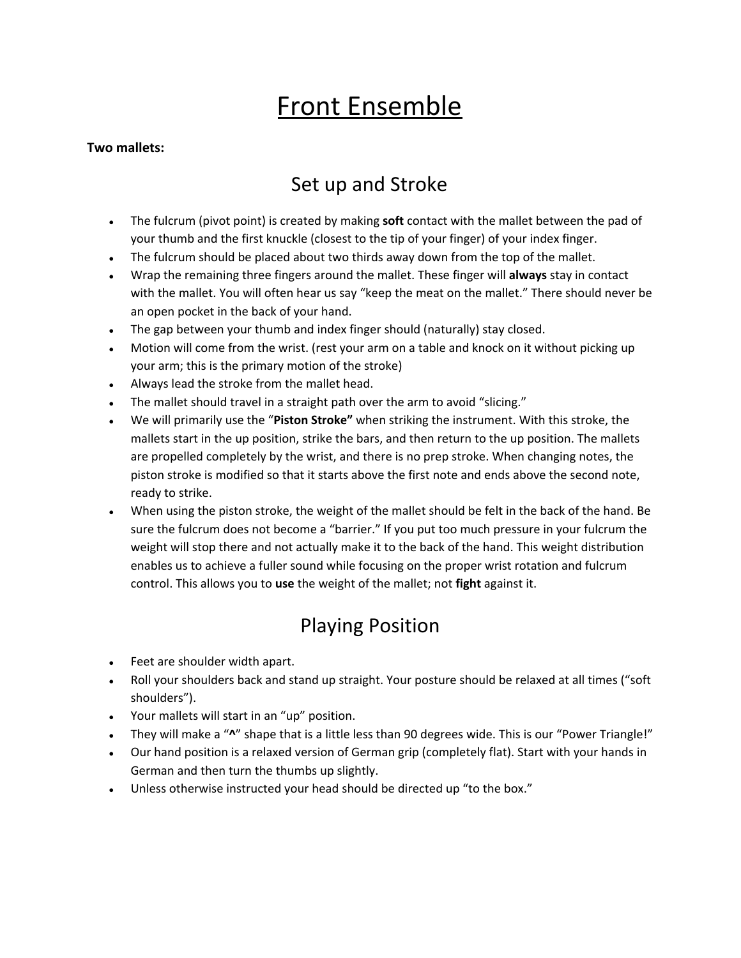# Front Ensemble

#### **Two mallets:**

#### Set up and Stroke

- The fulcrum (pivot point) is created by making **soft** contact with the mallet between the pad of your thumb and the first knuckle (closest to the tip of your finger) of your index finger.
- The fulcrum should be placed about two thirds away down from the top of the mallet.
- Wrap the remaining three fingers around the mallet. These finger will **always** stay in contact with the mallet. You will often hear us say "keep the meat on the mallet." There should never be an open pocket in the back of your hand.
- The gap between your thumb and index finger should (naturally) stay closed.
- Motion will come from the wrist. (rest your arm on a table and knock on it without picking up your arm; this is the primary motion of the stroke)
- Always lead the stroke from the mallet head.
- The mallet should travel in a straight path over the arm to avoid "slicing."
- We will primarily use the "**Piston Stroke"** when striking the instrument. With this stroke, the mallets start in the up position, strike the bars, and then return to the up position. The mallets are propelled completely by the wrist, and there is no prep stroke. When changing notes, the piston stroke is modified so that it starts above the first note and ends above the second note, ready to strike.
- When using the piston stroke, the weight of the mallet should be felt in the back of the hand. Be sure the fulcrum does not become a "barrier." If you put too much pressure in your fulcrum the weight will stop there and not actually make it to the back of the hand. This weight distribution enables us to achieve a fuller sound while focusing on the proper wrist rotation and fulcrum control. This allows you to **use** the weight of the mallet; not **fight** against it.

#### Playing Position

- Feet are shoulder width apart.
- Roll your shoulders back and stand up straight. Your posture should be relaxed at all times ("soft shoulders").
- Your mallets will start in an "up" position.
- They will make a "**^**" shape that is a little less than 90 degrees wide. This is our "Power Triangle!"
- Our hand position is a relaxed version of German grip (completely flat). Start with your hands in German and then turn the thumbs up slightly.
- Unless otherwise instructed your head should be directed up "to the box."